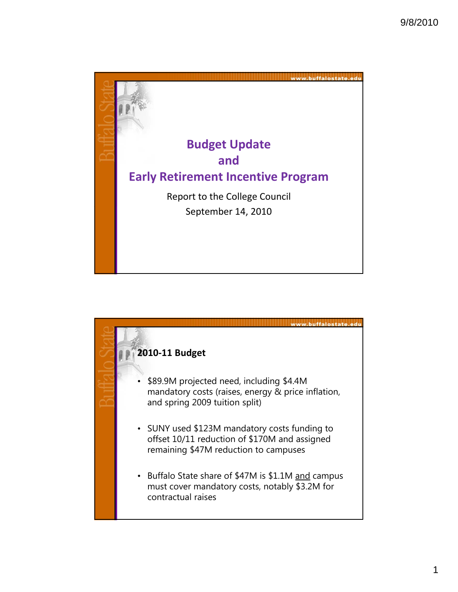

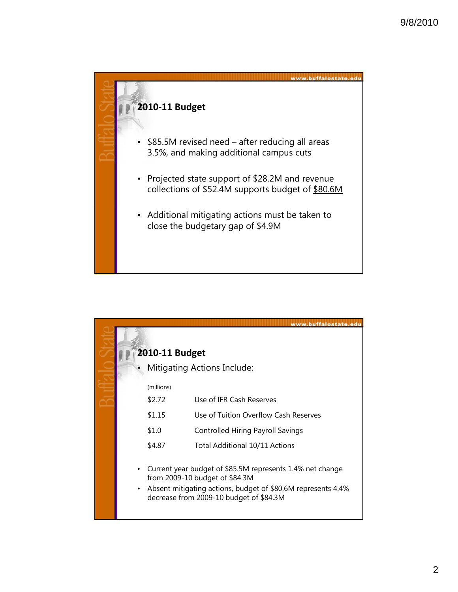

|           |                                                      | www.buffalostate.edu                                                                                                                                                                                   |  |
|-----------|------------------------------------------------------|--------------------------------------------------------------------------------------------------------------------------------------------------------------------------------------------------------|--|
|           |                                                      |                                                                                                                                                                                                        |  |
|           | 2010-11 Budget<br><b>Mitigating Actions Include:</b> |                                                                                                                                                                                                        |  |
|           |                                                      |                                                                                                                                                                                                        |  |
|           | (millions)                                           |                                                                                                                                                                                                        |  |
|           | \$2.72                                               | Use of IFR Cash Reserves                                                                                                                                                                               |  |
|           | \$1.15                                               | Use of Tuition Overflow Cash Reserves                                                                                                                                                                  |  |
|           | \$1.0                                                | Controlled Hiring Payroll Savings                                                                                                                                                                      |  |
|           | \$4.87                                               | Total Additional 10/11 Actions                                                                                                                                                                         |  |
| $\bullet$ |                                                      | Current year budget of \$85.5M represents 1.4% net change<br>from 2009-10 budget of \$84.3M<br>Absent mitigating actions, budget of \$80.6M represents 4.4%<br>decrease from 2009-10 budget of \$84.3M |  |